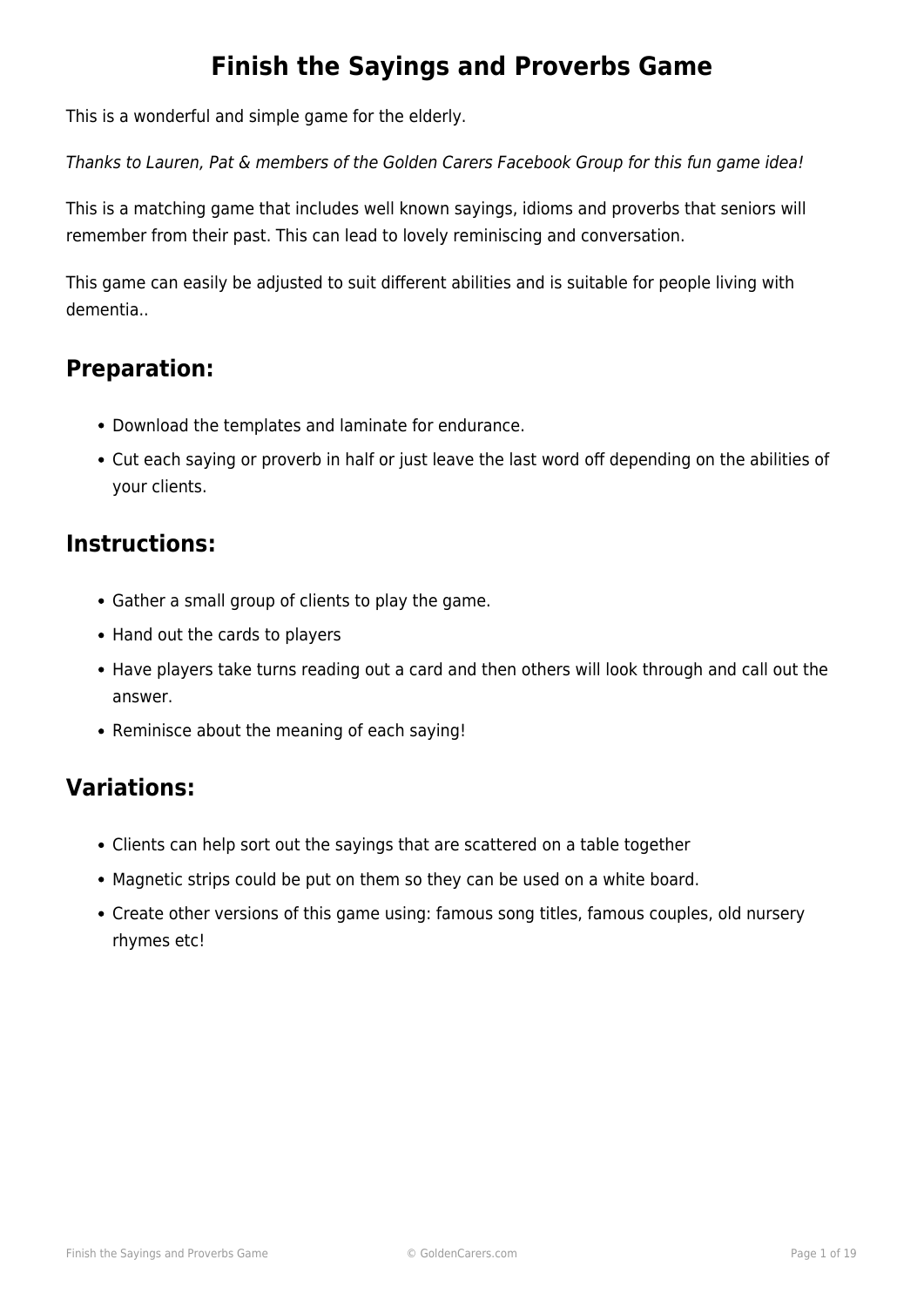#### **Finish the Sayings and Proverbs Game**

This is a wonderful and simple game for the elderly.

Thanks to Lauren, Pat & members of the Golden Carers Facebook Group for this fun game idea!

This is a matching game that includes well known sayings, idioms and proverbs that seniors will remember from their past. This can lead to lovely reminiscing and conversation.

This game can easily be adjusted to suit different abilities and is suitable for people living with dementia..

#### **Preparation:**

- Download the templates and laminate for endurance.
- Cut each saying or proverb in half or just leave the last word off depending on the abilities of your clients.

#### **Instructions:**

- Gather a small group of clients to play the game.
- Hand out the cards to players
- Have players take turns reading out a card and then others will look through and call out the answer.
- Reminisce about the meaning of each saying!

#### **Variations:**

- Clients can help sort out the sayings that are scattered on a table together
- Magnetic strips could be put on them so they can be used on a white board.
- Create other versions of this game using: famous song titles, famous couples, old nursery rhymes etc!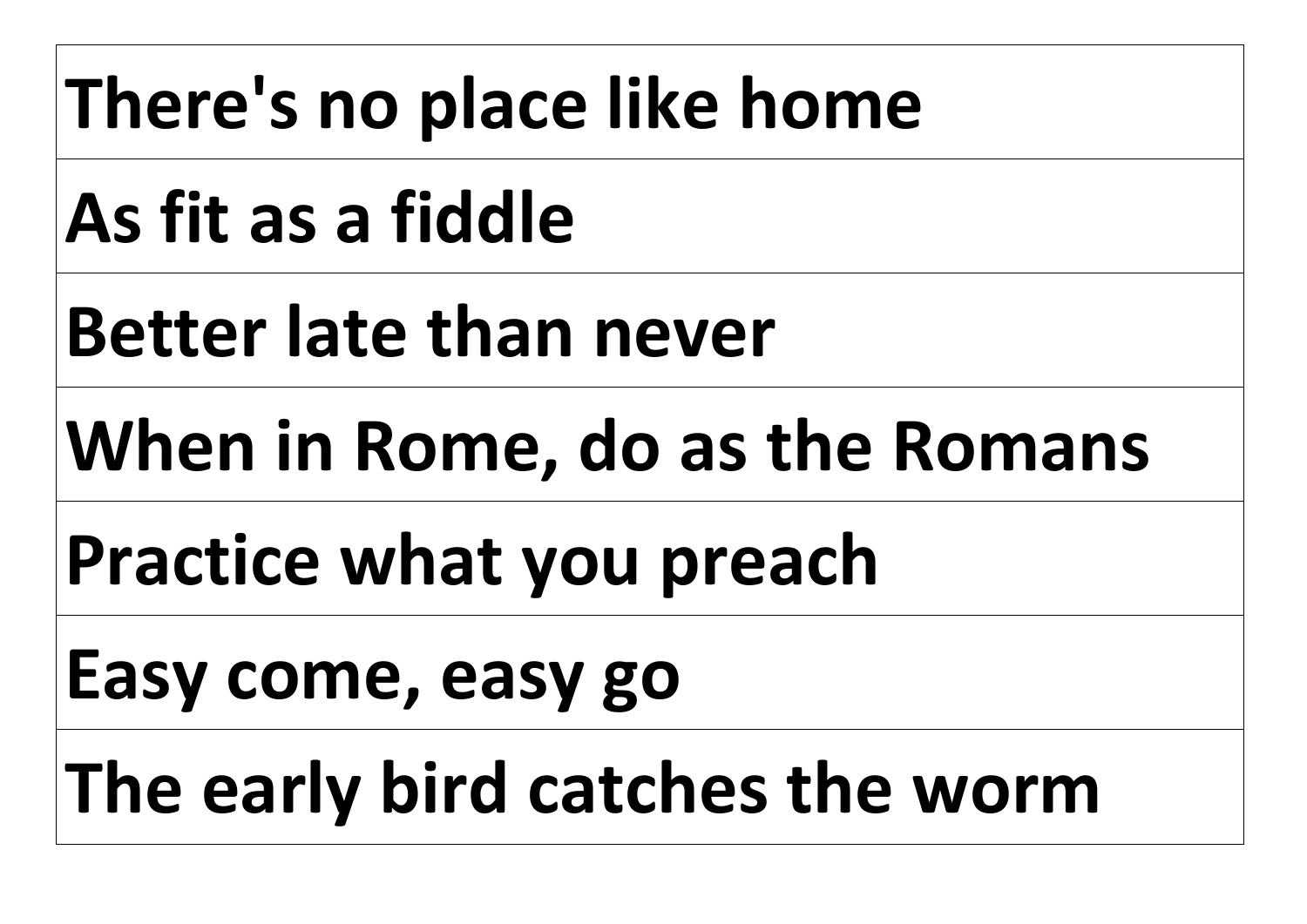### **There's no place like home**

# **As fit as a fiddle**

# **Better late than never**

# **When in Rome, do as the Romans**

#### **Practice what you preach**

#### **Easy come, easy go**

# **The early bird catches the worm**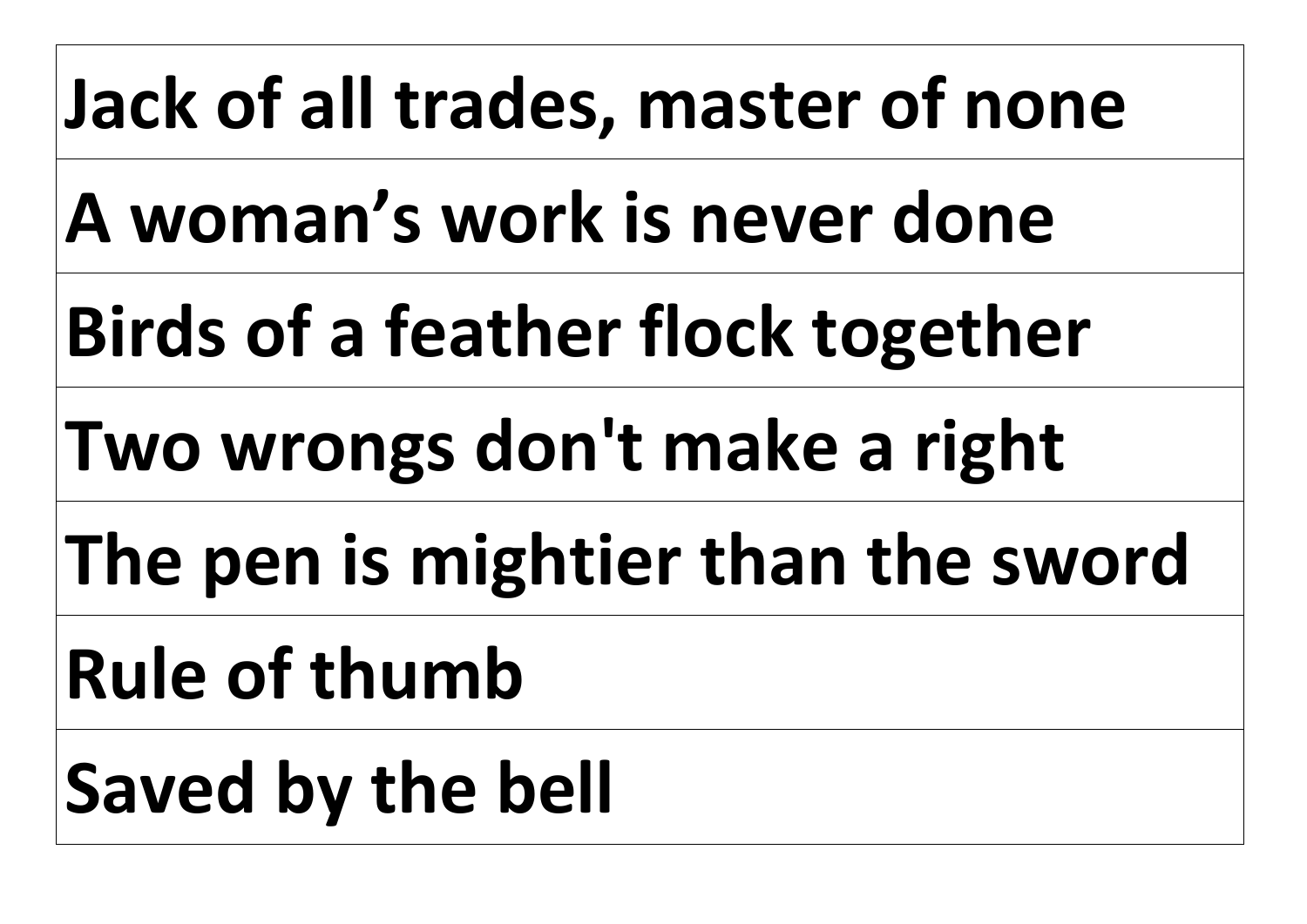#### **Jack of all trades, master of none**

**A woman's work is never done** 

**Birds of a feather flock together** 

**Two wrongs don't make a right** 

**The pen is mightier than the sword** 

**Rule of thumb** 

**Saved by the bell**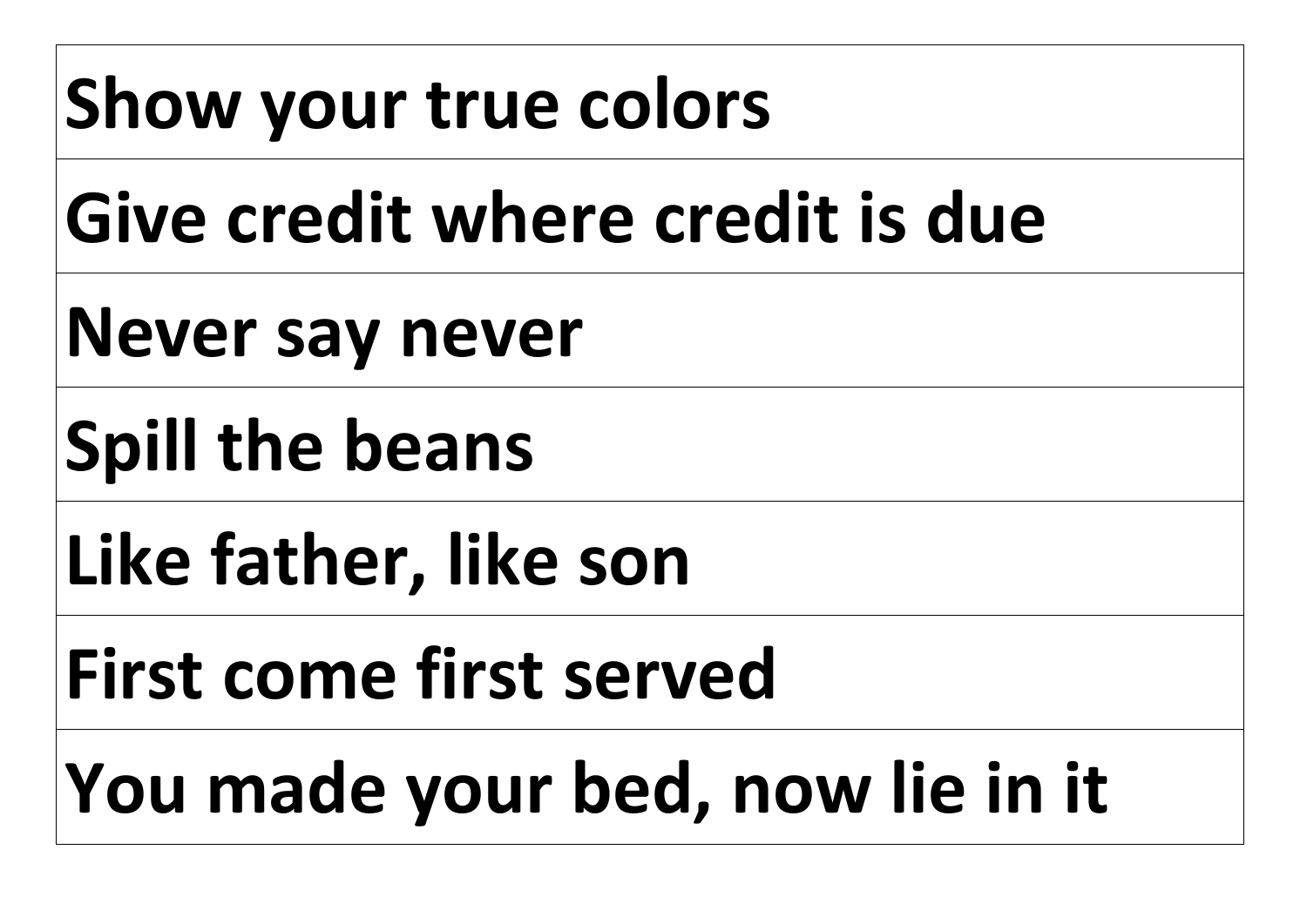# **Show your true colors**

### **Give credit where credit is due**

**Never say never** 

**Spill the beans** 

**Like father, like son** 

**First come first served** 

**You made your bed, now lie in it**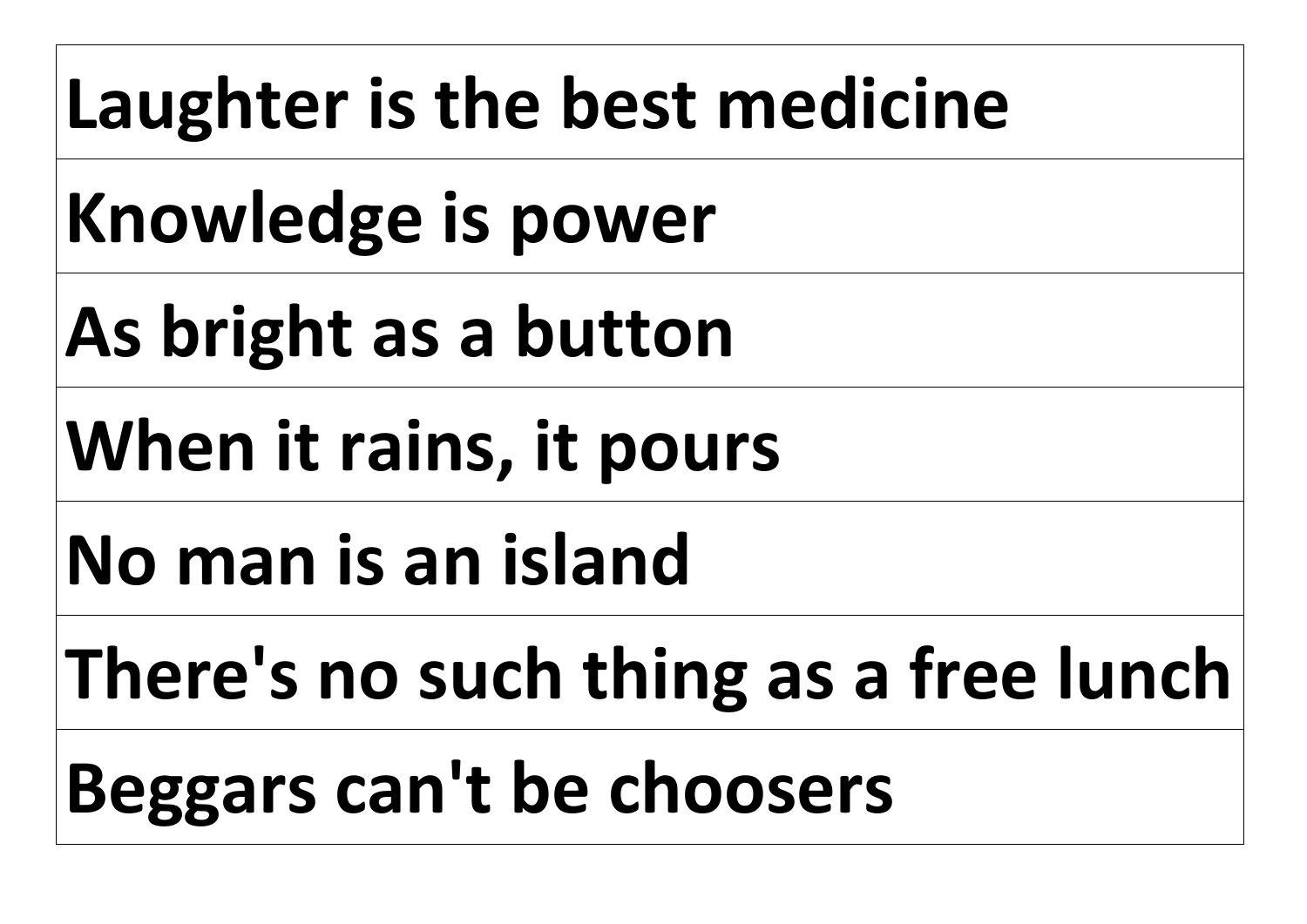#### **Laughter is the best medicine**

**Knowledge is power** 

**As bright as a button** 

**When it rains, it pours** 

**No man is an island** 

**There's no such thing as a free lunch**

**Beggars can't be choosers**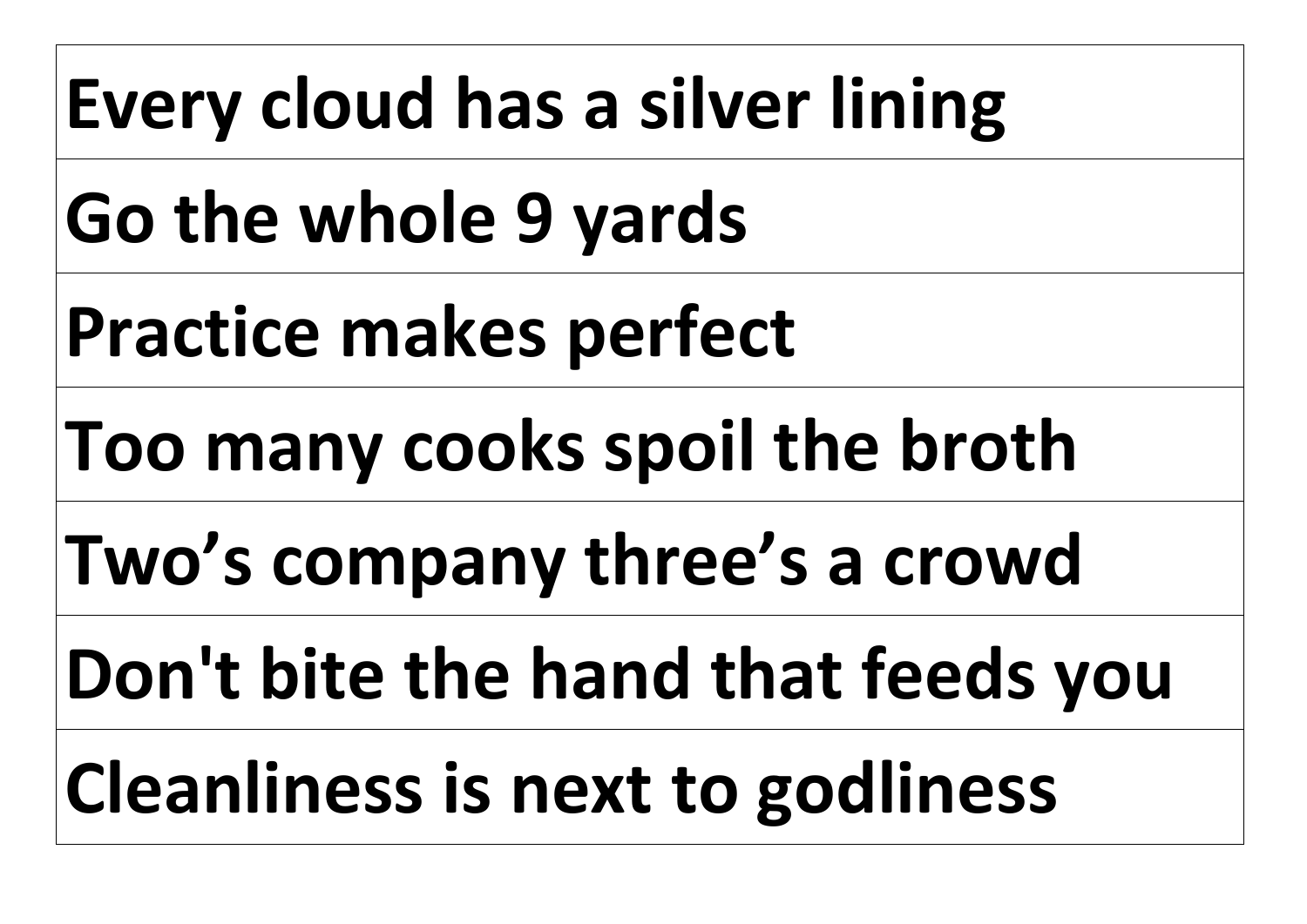# **Every cloud has a silver lining**

**Go the whole 9 yards** 

**Practice makes perfect** 

**Too many cooks spoil the broth** 

**Two's company three's a crowd** 

**Don't bite the hand that feeds you** 

**Cleanliness is next to godliness**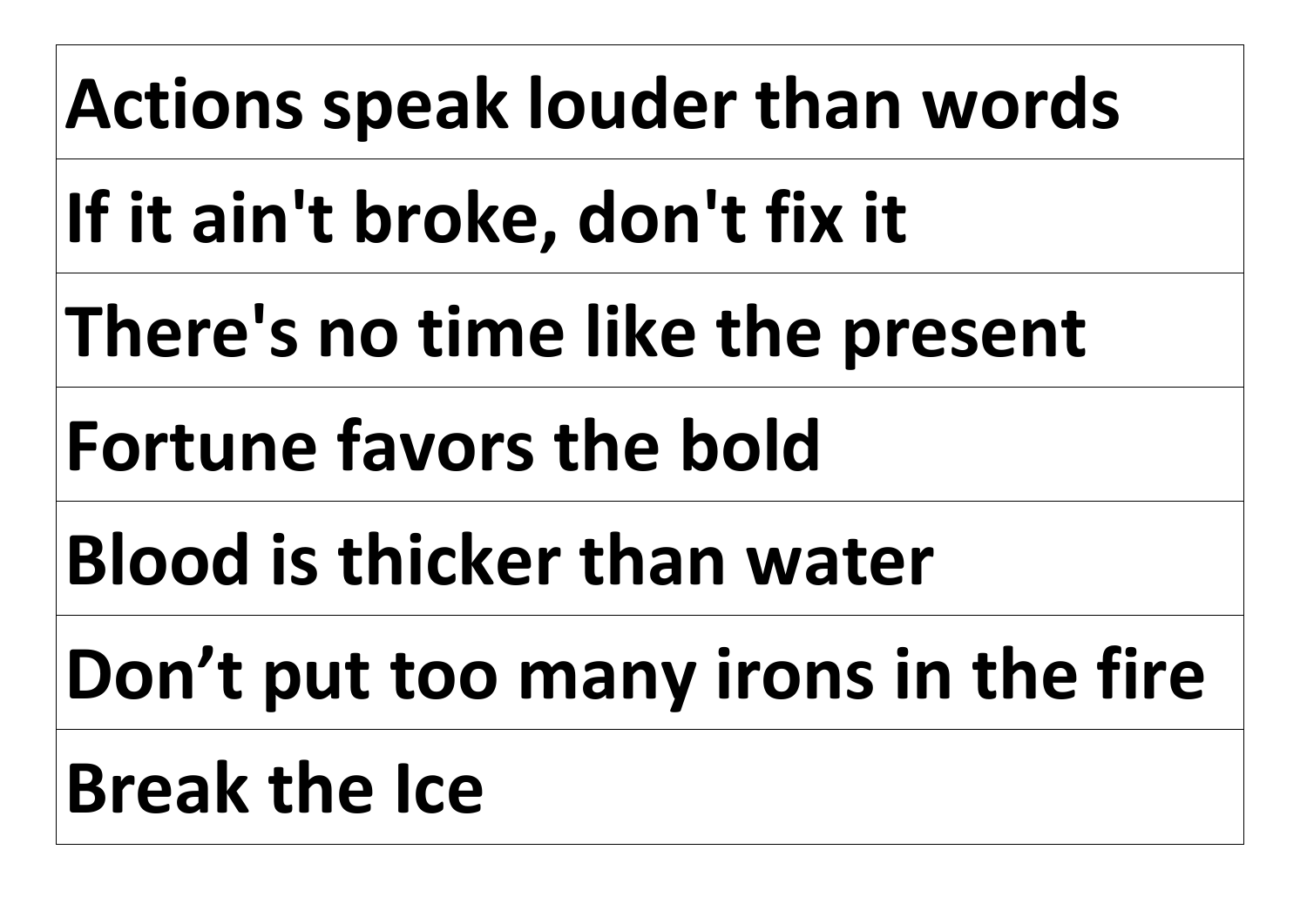# **Actions speak louder than words**

**If it ain't broke, don't fix it** 

**There's no time like the present** 

# **Fortune favors the bold**

**Blood is thicker than water** 

**Don't put too many irons in the fire**

# **Break the Ice**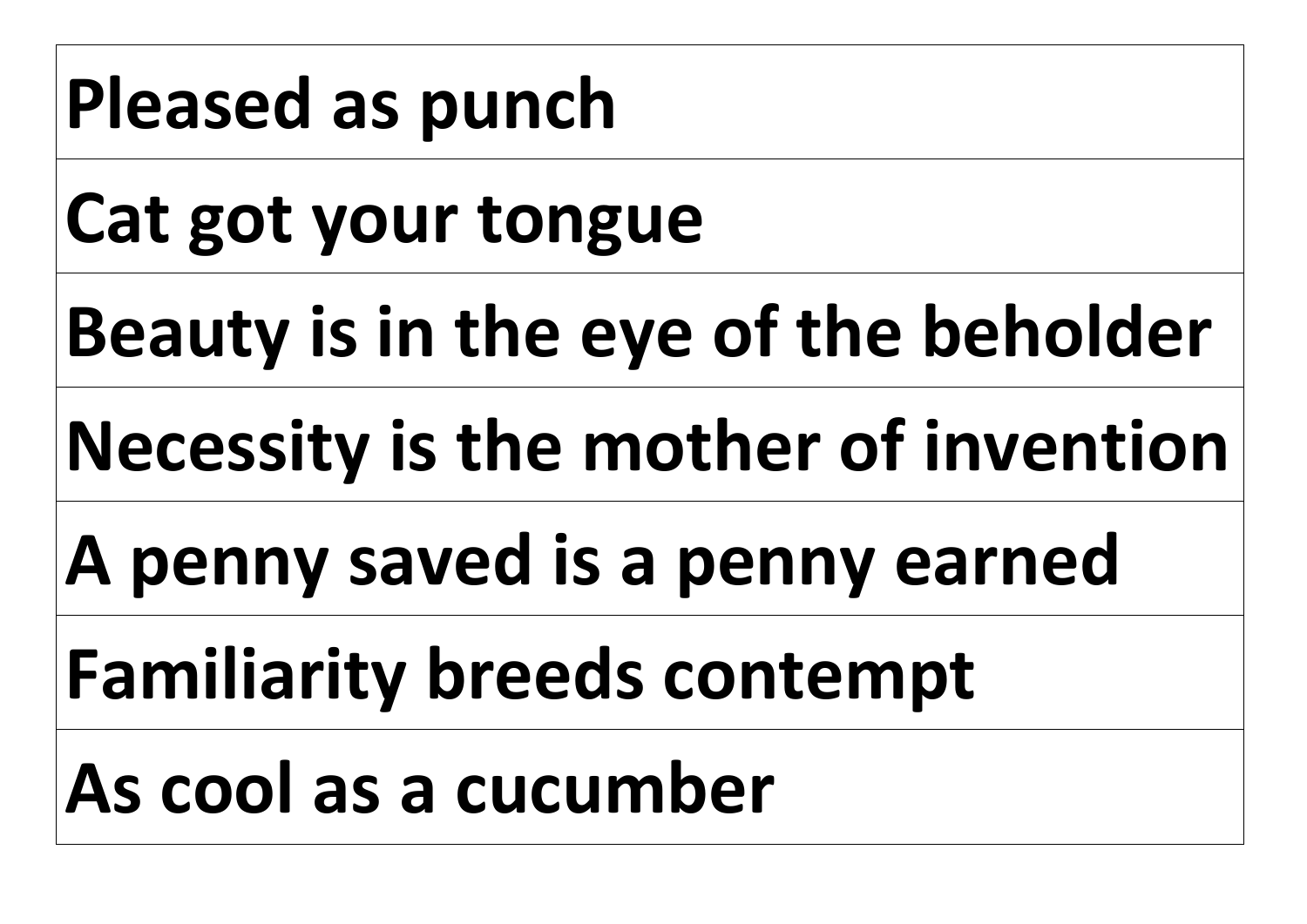#### **Pleased as punch**

**Cat got your tongue** 

**Beauty is in the eye of the beholder**

**Necessity is the mother of invention**

**A penny saved is a penny earned** 

**Familiarity breeds contempt** 

**As cool as a cucumber**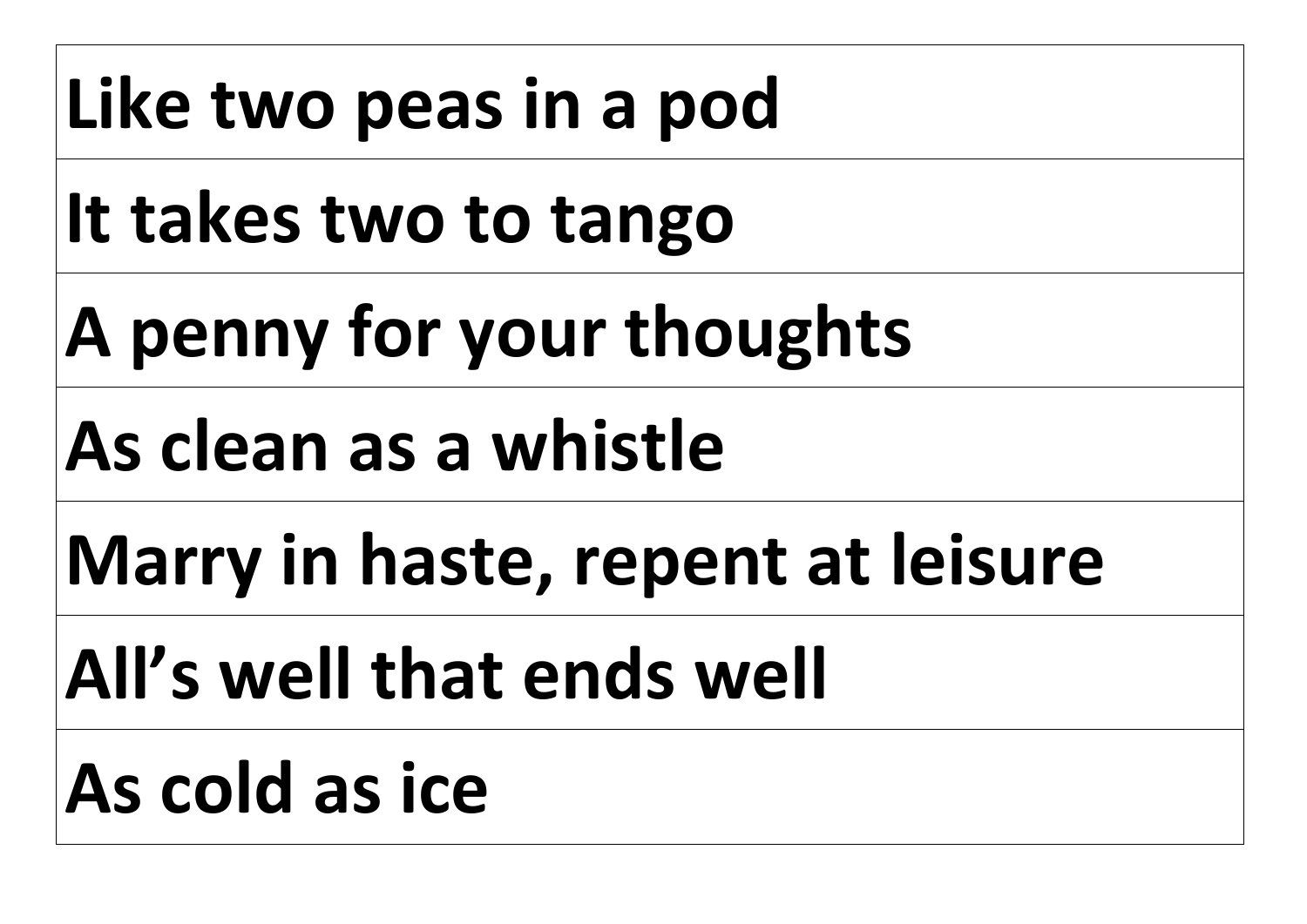# Like two peas in a pod

**It takes two to tango** 

**A penny for your thoughts** 

**As clean as a whistle** 

**Marry in haste, repent at leisure** 

**All's well that ends well** 

#### **As cold as ice**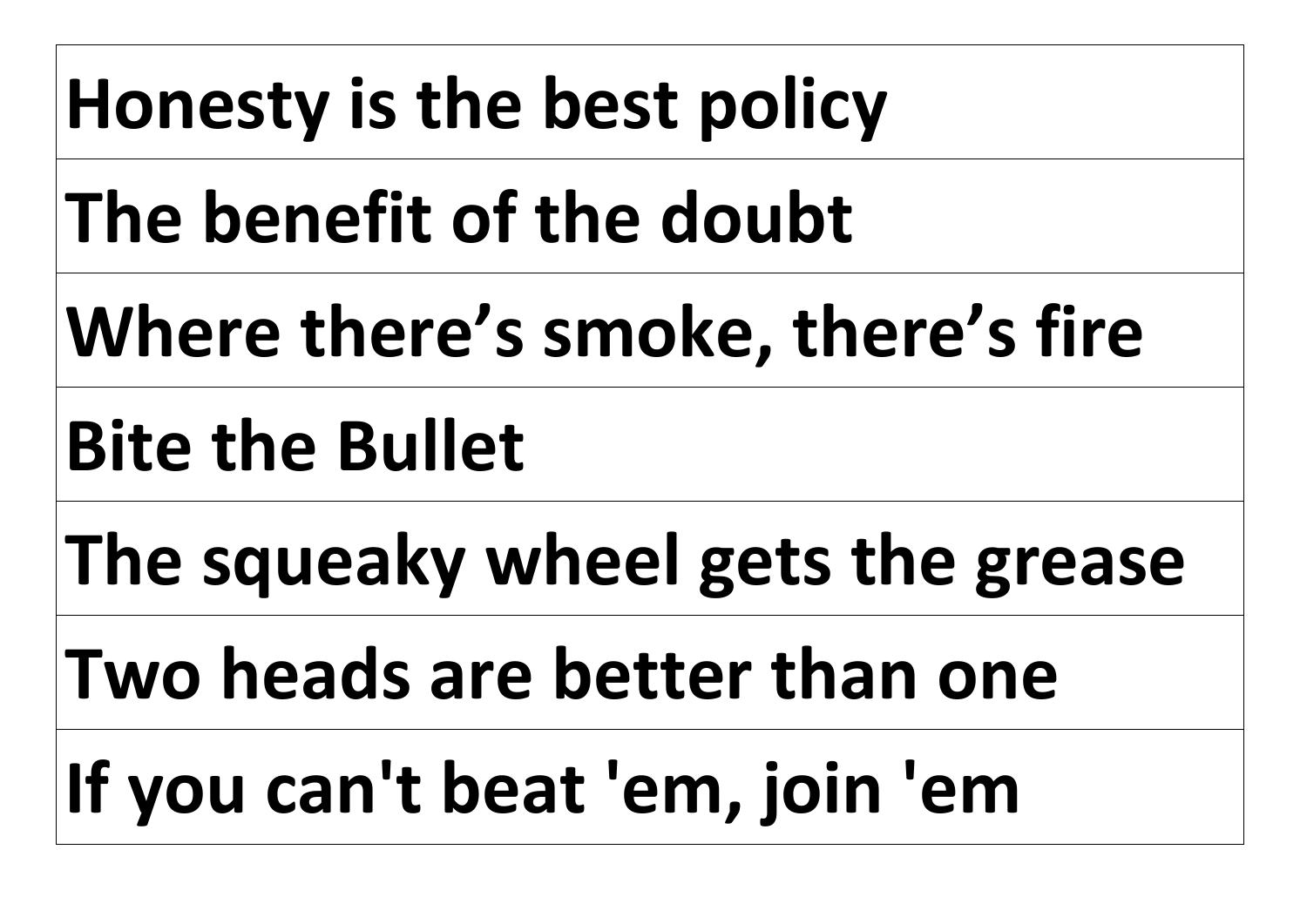# **Honesty is the best policy The benefit of the doubt Where there's smoke, there's fire Bite the Bullet The squeaky wheel gets the grease Two heads are better than one If you can't beat 'em, join 'em**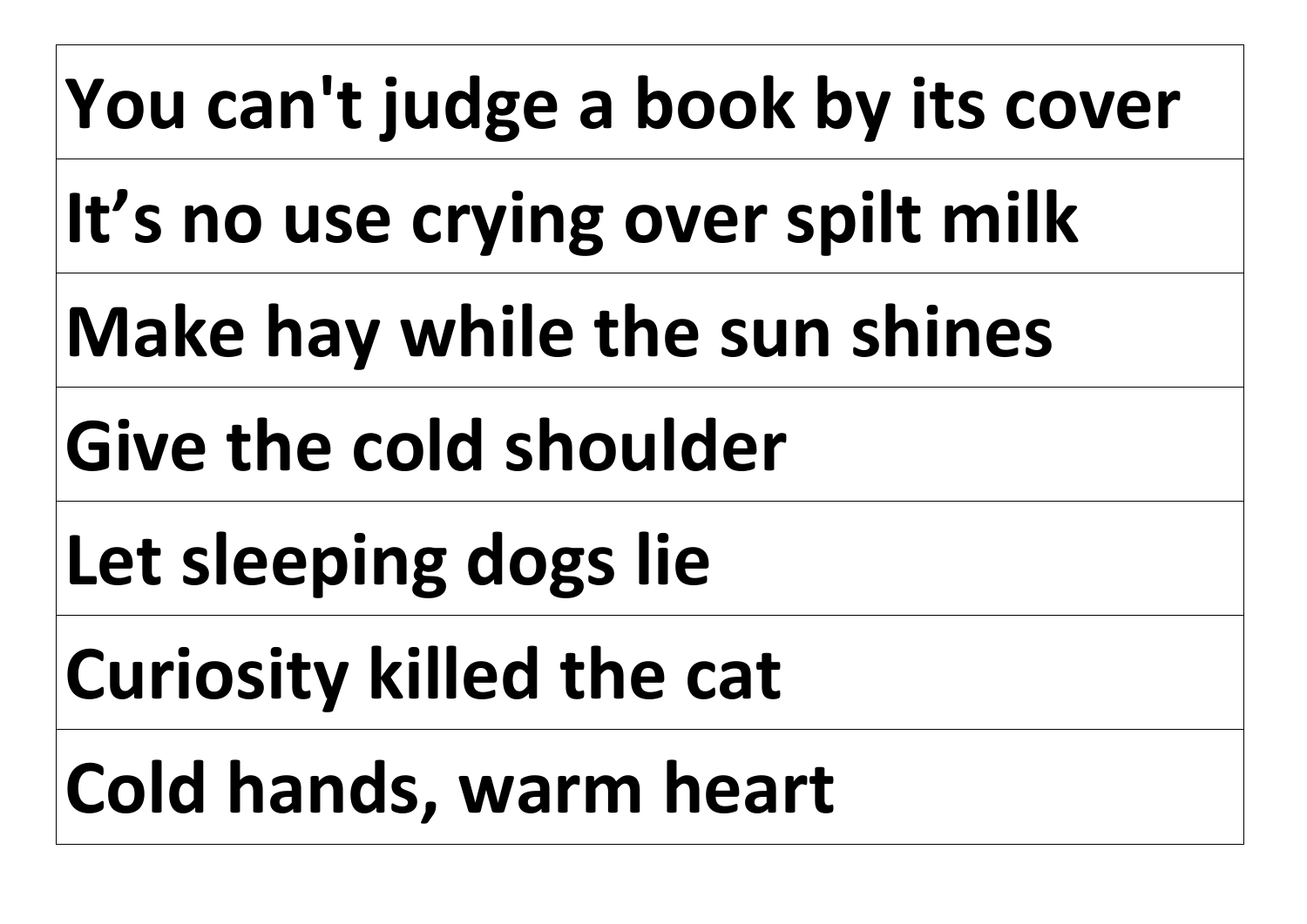# **You can't judge a book by its cover**

**It's no use crying over spilt milk** 

**Make hay while the sun shines** 

**Give the cold shoulder** 

**Let sleeping dogs lie** 

**Curiosity killed the cat** 

**Cold hands, warm heart**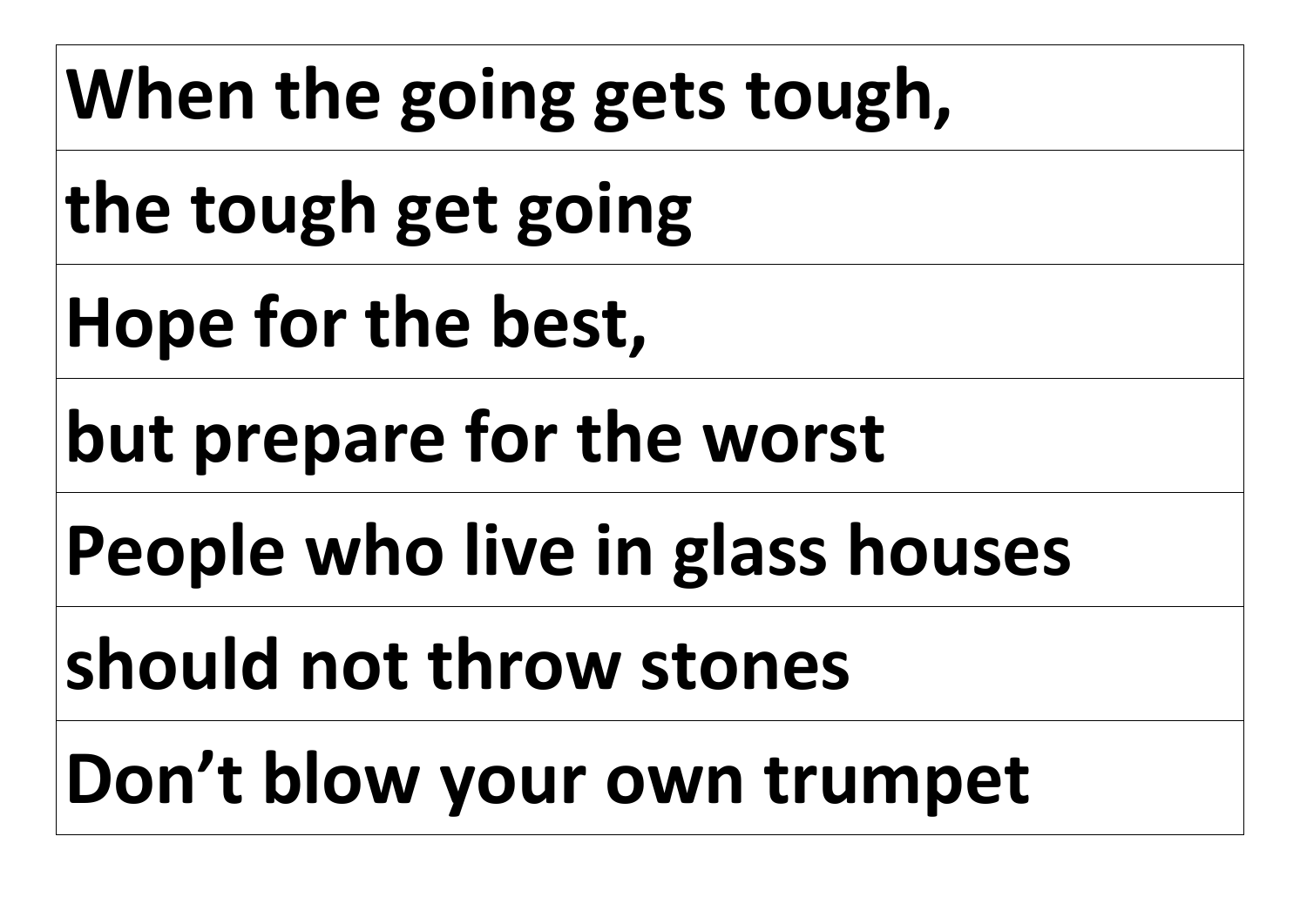# **When the going gets tough,**

**the tough get going**

**Hope for the best,** 

**but prepare for the worst** 

**People who live in glass houses** 

**should not throw stones** 

**Don't blow your own trumpet**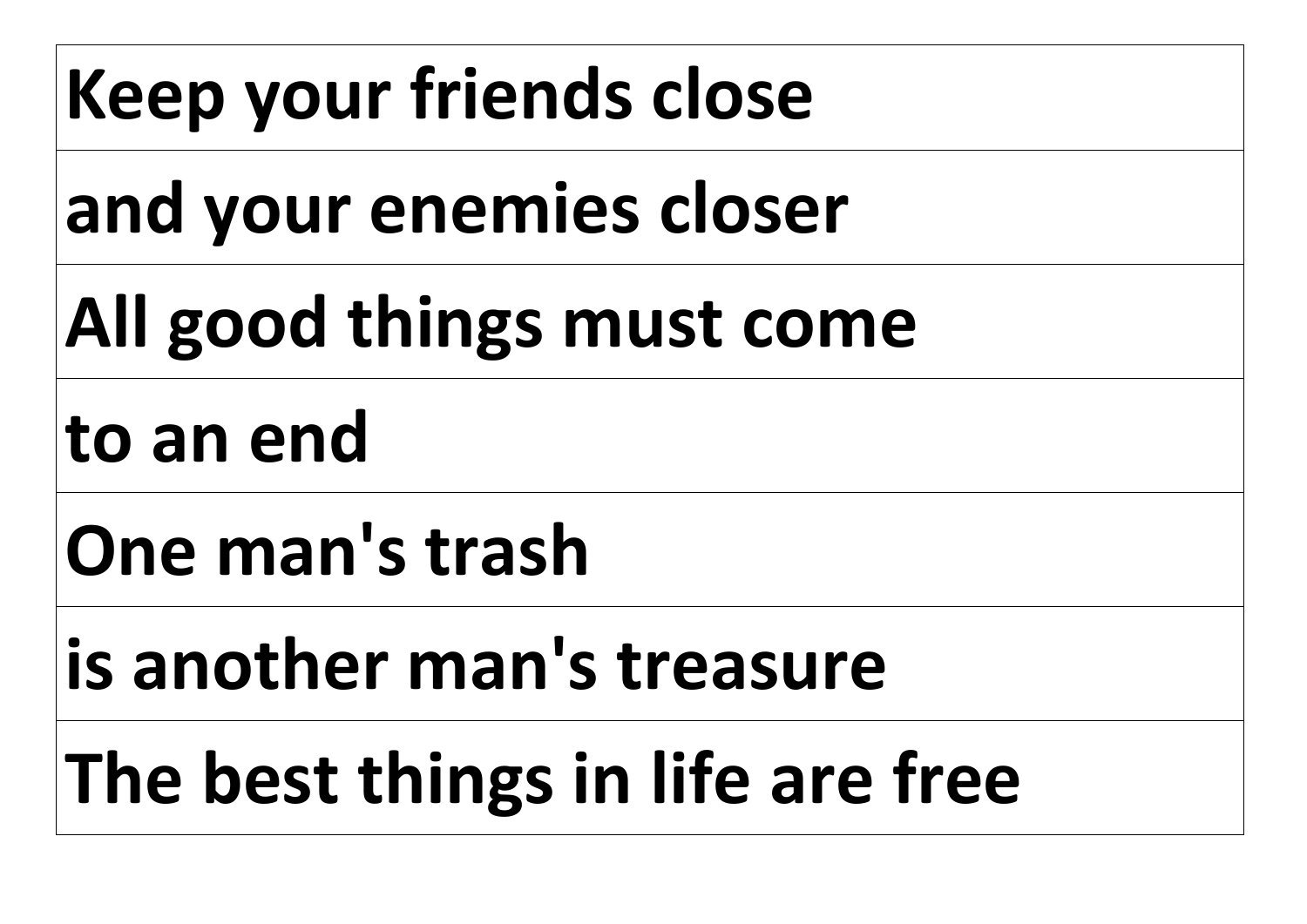# **Keep your friends close**

**and your enemies closer** 

# **All good things must come**

**to an end** 

**One man's trash** 

**is another man's treasure**

# **The best things in life are free**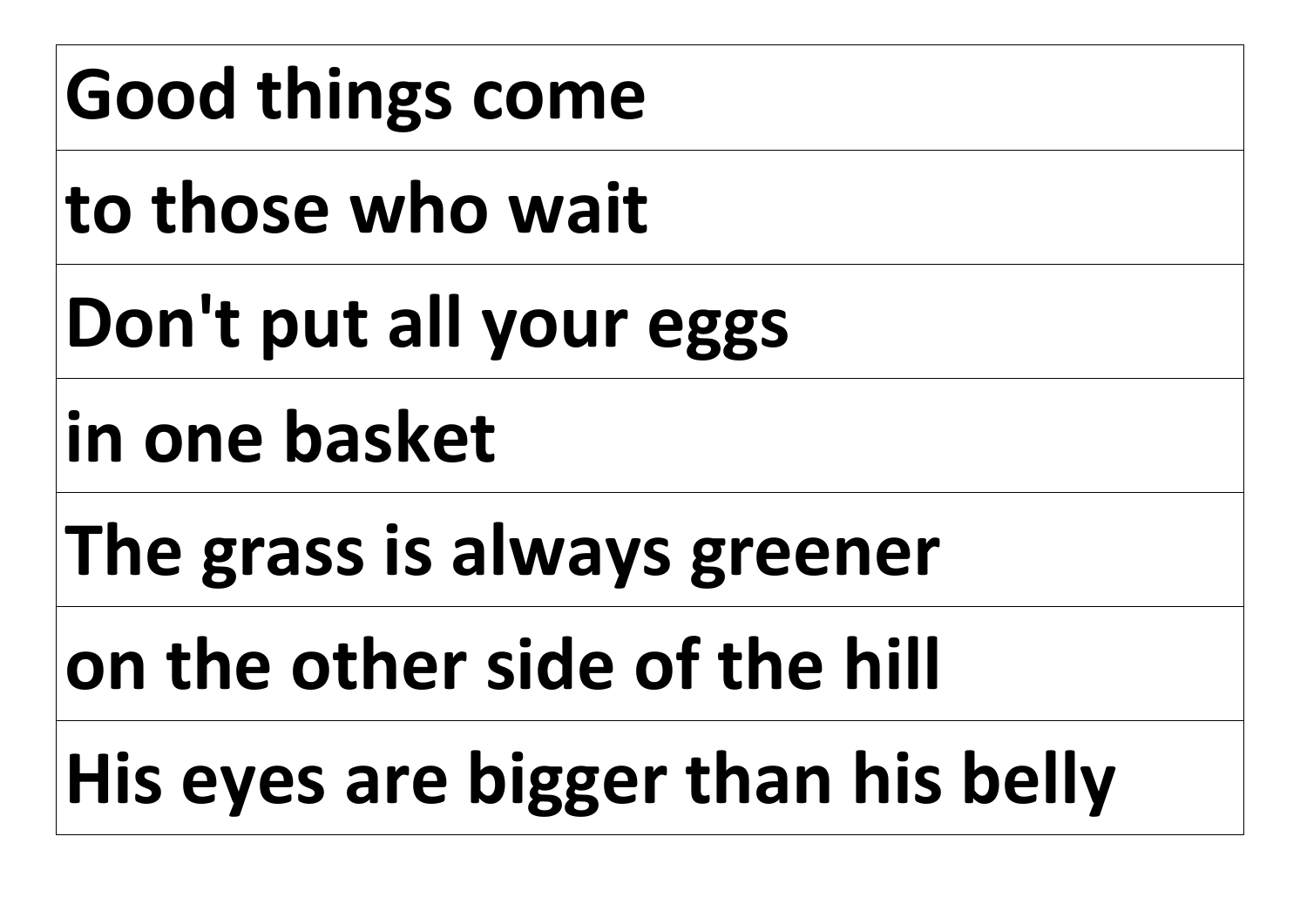# **Good things come**

**to those who wait**

**Don't put all your eggs** 

**in one basket** 

**The grass is always greener** 

**on the other side of the hill**

**His eyes are bigger than his belly**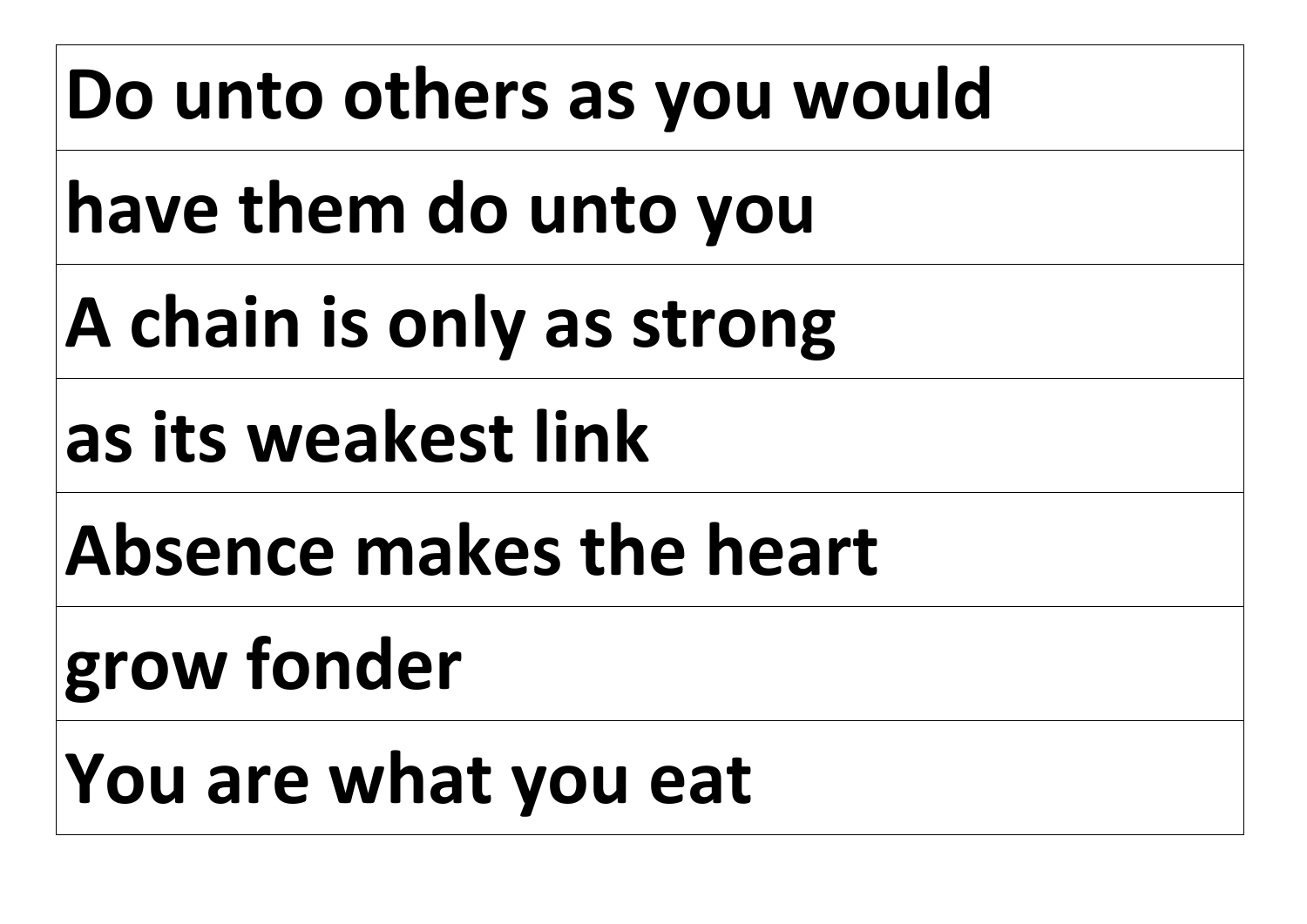# **Do unto others as you would**

**have them do unto you**

**A chain is only as strong** 

**as its weakest link**

**Absence makes the heart** 

# **grow fonder**

**You are what you eat**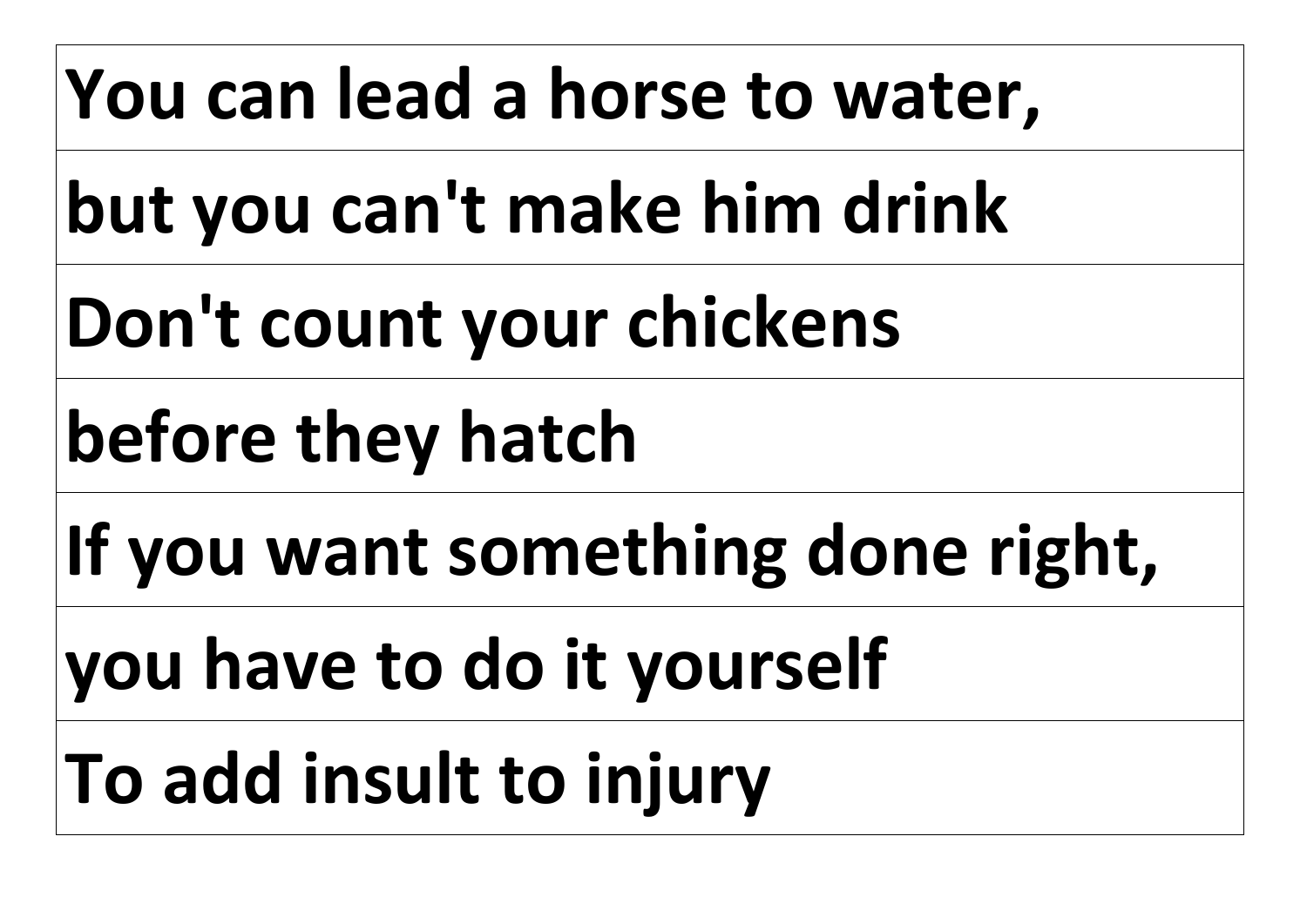# **You can lead a horse to water,**

**but you can't make him drink**

**Don't count your chickens** 

**before they hatch** 

**If you want something done right,** 

**you have to do it yourself**

**To add insult to injury**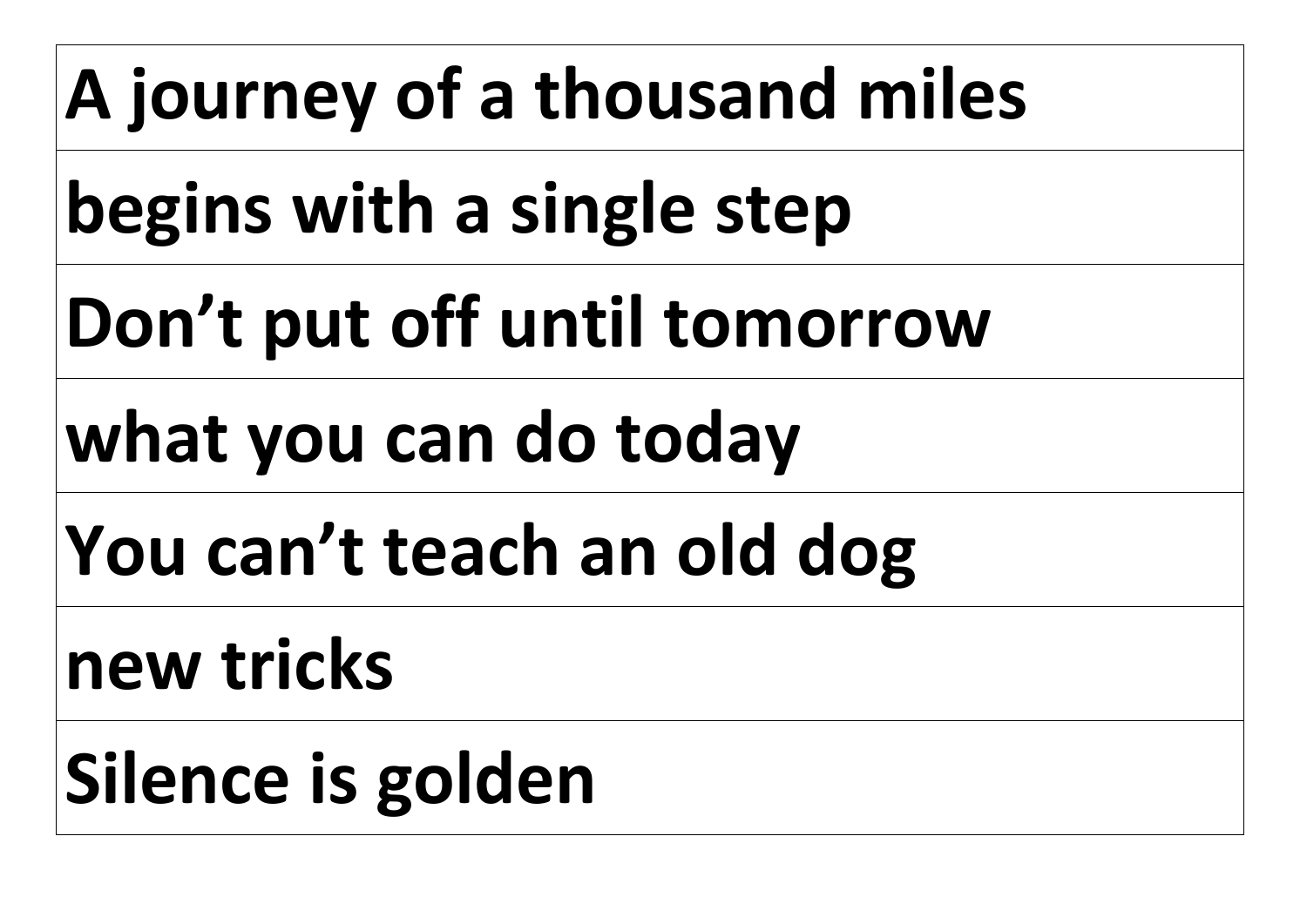# **A journey of a thousand miles**

**begins with a single step**

**Don't put off until tomorrow** 

# **what you can do today**

**You can't teach an old dog** 

# **new tricks**

# **Silence is golden**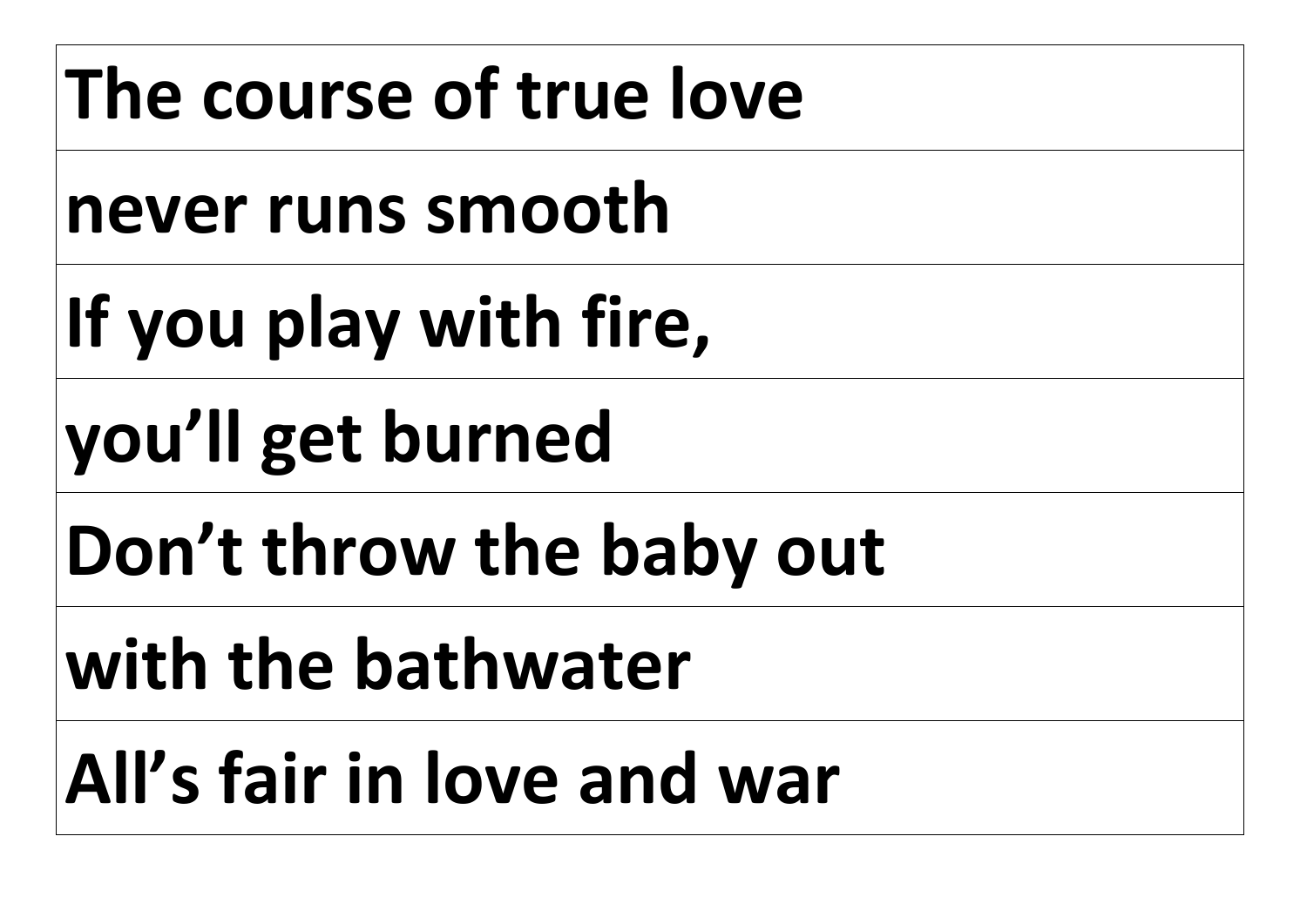# **The course of true love**

**never runs smooth** 

**If you play with fire,** 

**you'll get burned** 

**Don't throw the baby out** 

**with the bathwater**

**All's fair in love and war**